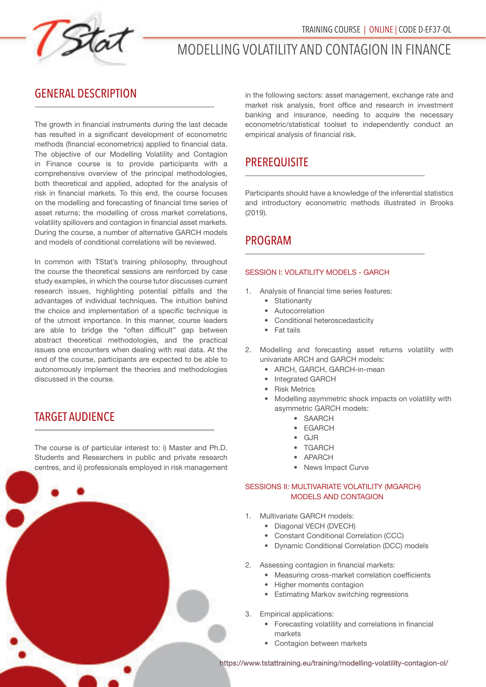in the following sectors: asset management, exchange rate and market risk analysis, front office and research in investment banking and insurance, needing to acquire the necessary econometric/statistical toolset to independently conduct an

Participants should have a knowledge of the inferential statistics and introductory econometric methods illustrated in Brooks



# MODELLING VOLATILITY AND CONTAGION IN FINANCE

empirical analysis of financial risk.

**PREREQUISITE** 

#### GENERAL DESCRIPTION

The growth in financial instruments during the last decade has resulted in a significant development of econometric methods (financial econometrics) applied to financial data. The objective of our Modelling Volatility and Contagion in Finance course is to provide participants with a comprehensive overview of the principal methodologies, both theoretical and applied, adopted for the analysis of risk in financial markets. To this end, the course focuses on the modelling and forecasting of financial time series of asset returns; the modelling of cross market correlations, volatility spillovers and contagion in financial asset markets. During the course, a number of alternative GARCH models and models of conditional correlations will be reviewed.

In common with TStat's training philosophy, throughout the course the theoretical sessions are reinforced by case study examples, in which the course tutor discusses current research issues, highlighting potential pitfalls and the advantages of individual techniques. The intuition behind the choice and implementation of a specific technique is of the utmost importance. In this manner, course leaders are able to bridge the "often difficult" gap between abstract theoretical methodologies, and the practical issues one encounters when dealing with real data. At the end of the course, participants are expected to be able to autonomously implement the theories and methodologies discussed in the course.

### TARGET AUDIENCE

The course is of particular interest to: i) Master and Ph.D. Students and Researchers in public and private research centres, and ii) professionals employed in risk management

PROGRAM SESSION I: VOLATILITY MODELS - GARCH 1. Analysis of financial time series features: • Stationarity • Autocorrelation

(2019).

- Conditional heteroscedasticity
- **Fat tails**
- 2. Modelling and forecasting asset returns volatility with univariate ARCH and GARCH models:
	- ARCH, GARCH, GARCH-in-mean
	- Integrated GARCH
	- **Risk Metrics**
	- Modelling asymmetric shock impacts on volatility with asymmetric GARCH models:
		- SAARCH
		- EGARCH
		- GJR
		- TGARCH
		- APARCH
		- News Impact Curve

#### SESSIONS II: MULTIVARIATE VOLATILITY (MGARCH) MODELS AND CONTAGION

- 1. Multivariate GARCH models:
	- Diagonal VECH (DVECH)
		- Constant Conditional Correlation (CCC)
		- Dynamic Conditional Correlation (DCC) models
- 2. Assessing contagion in financial markets:
	- Measuring cross-market correlation coefficients
	- Higher moments contagion
	- Estimating Markov switching regressions
- 3. Empirical applications:
	- Forecasting volatility and correlations in financial markets
	- Contagion between markets